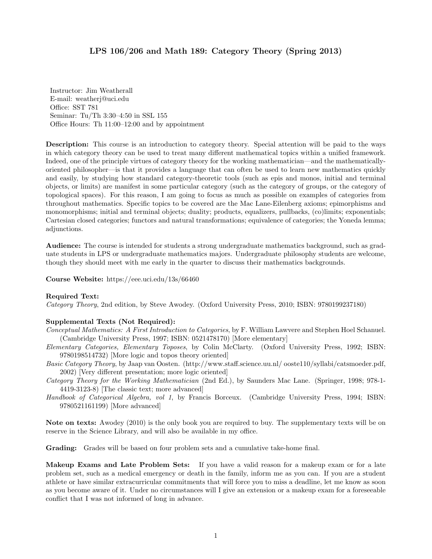## LPS 106/206 and Math 189: Category Theory (Spring 2013)

Instructor: Jim Weatherall E-mail: weatherj@uci.edu Office: SST 781 Seminar: Tu/Th 3:30–4:50 in SSL 155 Office Hours: Th 11:00–12:00 and by appointment

Description: This course is an introduction to category theory. Special attention will be paid to the ways in which category theory can be used to treat many different mathematical topics within a unified framework. Indeed, one of the principle virtues of category theory for the working mathematician—and the mathematicallyoriented philosopher—is that it provides a language that can often be used to learn new mathematics quickly and easily, by studying how standard category-theoretic tools (such as epis and monos, initial and terminal objects, or limits) are manifest in some particular category (such as the category of groups, or the category of topological spaces). For this reason, I am going to focus as much as possible on examples of categories from throughout mathematics. Specific topics to be covered are the Mac Lane-Eilenberg axioms; epimorphisms and monomorphisms; initial and terminal objects; duality; products, equalizers, pullbacks, (co)limits; exponentials; Cartesian closed categories; functors and natural transformations; equivalence of categories; the Yoneda lemma; adjunctions.

Audience: The course is intended for students a strong undergraduate mathematics background, such as graduate students in LPS or undergraduate mathematics majors. Undergraduate philosophy students are welcome, though they should meet with me early in the quarter to discuss their mathematics backgrounds.

Course Website: https://eee.uci.edu/13s/66460

## Required Text:

Category Theory, 2nd edition, by Steve Awodey. (Oxford University Press, 2010; ISBN: 9780199237180)

## Supplemental Texts (Not Required):

- Conceptual Mathematics: A First Introduction to Categories, by F. William Lawvere and Stephen Hoel Schanuel. (Cambridge University Press, 1997; ISBN: 0521478170) [More elementary]
- Elementary Categories, Elementary Toposes, by Colin McClarty. (Oxford University Press, 1992; ISBN: 9780198514732) [More logic and topos theory oriented]
- Basic Category Theory, by Jaap van Oosten. (http://www.staff.science.uu.nl/ ooste110/syllabi/catsmoeder.pdf, 2002) [Very different presentation; more logic oriented]
- Category Theory for the Working Mathematician (2nd Ed.), by Saunders Mac Lane. (Springer, 1998; 978-1- 4419-3123-8) [The classic text; more advanced]
- Handbook of Categorical Algebra, vol 1, by Francis Borceux. (Cambridge University Press, 1994; ISBN: 9780521161199) [More advanced]

Note on texts: Awodey (2010) is the only book you are required to buy. The supplementary texts will be on reserve in the Science Library, and will also be available in my office.

Grading: Grades will be based on four problem sets and a cumulative take-home final.

Makeup Exams and Late Problem Sets: If you have a valid reason for a makeup exam or for a late problem set, such as a medical emergency or death in the family, inform me as you can. If you are a student athlete or have similar extracurricular commitments that will force you to miss a deadline, let me know as soon as you become aware of it. Under no circumstances will I give an extension or a makeup exam for a foreseeable conflict that I was not informed of long in advance.